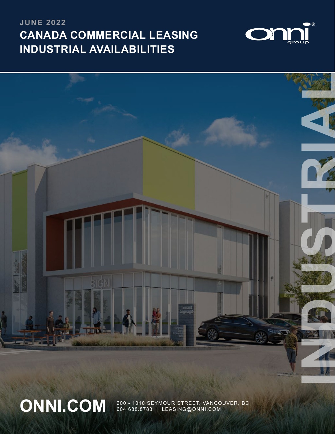# **CANADA COMMERCIAL LEASING INDUSTRIAL AVAILABILITIES JUNE 2022**





ONNI.COM 200 - 1010 SEYMOUR STREET, VANCOUVER, BC 604.688.8783 | LEASING@ONNI.COM

1 | 200 - 1010 SEYMOUR STREET, VANCOUVER, BC | 604.688.8783 | LEASING@ONNI.COM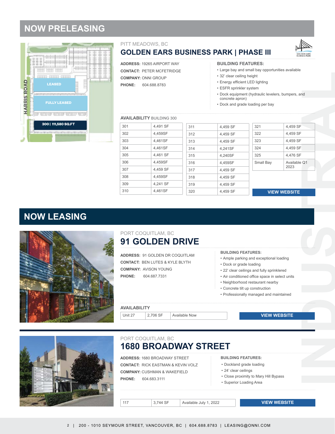# **NOW PRELEASING**



### PITT MEADOWS, BC

# **GOLDEN EARS BUSINESS PARK | PHASE III**



**ADDRESS:** 19265 AIRPORT WAY

**CONTACT:** PETER MCFETRIDGE

**COMPANY:** ONNI GROUP

**PHONE:** 604.688.8783

**BUILDING FEATURES:**

- Large bay and small bay opportunities available
- 32' clear ceiling height
- Energy efficient LED lighting
- ESFR sprinkler system
- **INDUSTRIAL CONSULTANCE IN A REPORT OF PROPERTY OF CONSULTANCE IN A REPORT OF CONSULTANCE IN A REPORT OF CONSULTANCE IN A REPORT OF CONSULTANCE IN A REPORT OF CONSULTANCE IN A REPORT OF CONSULTANCE IN A REPORT OF CONSULTAN** • Dock equipment (hydraulic levelers, bumpers, and concrete apron)
- Dock and grade loading per bay

### **AVAILABILITY** BUILDING 300

| 301 | 4,491 SF | 311 | 4,459 SF | 321       | 4,459 SF            |
|-----|----------|-----|----------|-----------|---------------------|
| 302 | 4,459SF  | 312 | 4,459 SF | 322       | 4,459 SF            |
| 303 | 4,461SF  | 313 | 4,459 SF | 323       | 4,459 SF            |
| 304 | 4,461SF  | 314 | 4,241SF  | 324       | 4,459 SF            |
| 305 | 4,461 SF | 315 | 4,240SF  | 325       | 4,476 SF            |
| 306 | 4,459SF  | 316 | 4.459SF  | Small Bay | Available Q1        |
| 307 | 4,459 SF | 317 | 4,459 SF |           | 2023                |
| 308 | 4,459SF  | 318 | 4,459 SF |           |                     |
| 309 | 4,241 SF | 319 | 4.459 SF |           |                     |
| 310 | 4,461SF  | 320 | 4.459 SF |           | <b>VIEW WEBSITE</b> |
|     |          |     |          |           |                     |

### **VIEW WEBSITE**

# **NOW LEASING**



### **91 [GO](https://www.onni.com/property/commercial/81-golden-drive/)LDEN DRIVE** PORT COQUITLAM, BC

**ADDRESS:** 91 GOLDEN DR COQUITLAM **CONTACT:** BEN LUTES & KYLE BLYTH **COMPANY:** AVISON YOUNG **PHONE:** 604.687.7331

**BUILDING FEATURES:**

- Ample parking and exceptional loading
- Dock or grade loading
- 22' clear ceilings and fully sprinklered
- Air conditioned office space in select units
- Neighborhood restaurant nearby
- Concrete tilt up construction
- Professionally managed and maintained

**AVAILABILITY**

Unit 27 2,706 SF Available Now

# **VIEW WEBSITE VIEW WEBSITE**<br>
veptional loading<br>
ully sprinklered<br>
pace in select units<br>
unt nearby<br>
d and maintained<br>
VIEW WEBSITE<br>
VIEW WEBSITE<br>
VIEW WEBSITE



### **1680 BROADWAY STREET** PORT COQUITLAM, BC

**ADDRESS:** 1680 BROADWAY STREET **CONTACT:** RICK EASTMAN & KEVIN VOLZ **COMPANY:** CUSHMAN & WAKEFIELD **PHONE:** 604.683.3111

**BUILDING FEATURES:**

- Dockland grade loading
- 24' clear ceilings
- Close proximity to Mary Hill Bypass
- Superior Loading Area

117 3,744 SF Available July 1, 2022

**VIEW WEBSITE**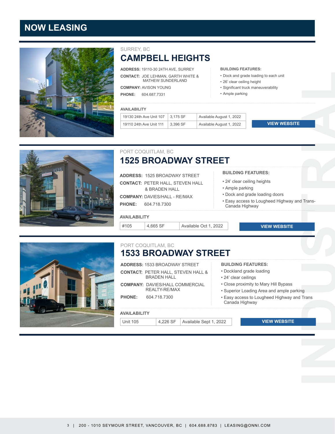# **NOW LEASING**



## SURREY, BC **CAMPBELL HEIGHTS**

**ADDRESS:** 19110-30 24TH AVE, SURREY **CONTACT:** JOE LEHMAN, GARTH WHITE & MATHEW SUNDERLAND

**COMPANY:** AVISON YOUNG

**PHONE:** 604.687.7331

### **AVAIL**

| ABILITY                  |                   |                          |  |
|--------------------------|-------------------|--------------------------|--|
| 1 Are Hnit 1∩7 ا م/∩ A≀h | $\sqrt{3}$ 175 SF | Available August 1, 2022 |  |

| $\frac{1}{2}$ 19130 24th Ave Unit 107 $\parallel$ 3,175 SF | Available August 1, 2022 |                     |
|------------------------------------------------------------|--------------------------|---------------------|
| 19110 24th Ave Unit 111 3.396 SF                           | Available August 1, 2022 | <b>VIEW WEBSITE</b> |

### **1525 BROADWAY STREET** PORT COQUITLAM, BC

**ADDRESS:** 1525 BROADWAY STREET **CONTACT:** PETER HALL, STEVEN HALL & BRADEN HALL **COMPANY:** DAVIES/HALL - RE/MAX

**PHONE:** 604.718.7300

### **AVAILABILITY**

#105 4,665 SF Available Oct 1, 2022

### **BUILDING FEATURES:**

**BUILDING FEATURES:**

• 26' clear ceiling height • Significant truck maneuverability

• Ample parking

• Dock and grade loading to each unit

- 24' clear ceiling heights
- Ample parking
- Dock and grade loading doors
- **I**<br>Trans-<br>Trans-<br>Trans-<br>Trans-<br><br>Trans-<br><br><br><br><br><br><br><br><br><br><br><br><br><br><br><br><br><br><br><br><br><br><br><br><br><br><br><br><br> • Easy access to Lougheed Highway and Trans-Canada Highway

**VIEW WEBSITE**



### **1533 BROADWAY STREET** PORT COQUITLAM, BC

|  | <b>ADDRESS: 1533 BROADWAY STREET</b> |  |
|--|--------------------------------------|--|
|  |                                      |  |

**CONTACT:** PETER HALL, STEVEN HALL & BRADEN HALL **COMPANY:** DAVIES/HALL COMMERCIAL REALTY-RE/MAX **PHONE:** 604.718.7300

### **AVAILABILITY**

Unit 105 4,226 SF Available Sept 1, 2022

**BUILDING FEATURES:**

- Dockland grade loading
- 24' clear ceilings
- Close proximity to Mary Hill Bypass
- Superior Loading Area and ample parking
- Easy access to Lougheed Highway and Trans Canada Highway

### **VIEW WEBSITE**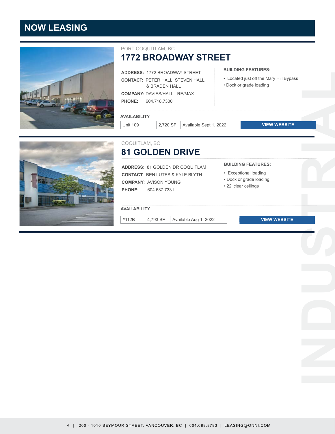# **NOW LEASING**



### PORT COQUITLAM, BC

**1772 BROADWAY STREET**

|                     |                              | <b>ADDRESS: 1772 BROADWAY STREET</b>       | <b>BUILDING FEATURES:</b>                                          |  |
|---------------------|------------------------------|--------------------------------------------|--------------------------------------------------------------------|--|
|                     | & BRADEN HALL                | <b>CONTACT: PETER HALL, STEVEN HALL</b>    | • Located just off the Mary Hill Bypass<br>• Dock or grade loading |  |
|                     |                              | <b>COMPANY: DAVIES/HALL - RE/MAX</b>       |                                                                    |  |
| <b>PHONE:</b>       | 604.718.7300                 |                                            |                                                                    |  |
| <b>AVAILABILITY</b> |                              |                                            |                                                                    |  |
| <b>Unit 109</b>     | 2,720 SF                     | Available Sept 1, 2022                     | <b>VIEW WEBSITE</b>                                                |  |
| COQUITLAM, BC       |                              |                                            |                                                                    |  |
|                     |                              | <b>81 GOLDEN DRIVE</b>                     |                                                                    |  |
|                     |                              | <b>ADDRESS: 81 GOLDEN DR COQUITLAM</b>     | <b>BUILDING FEATURES:</b>                                          |  |
|                     |                              | <b>CONTACT: BEN LUTES &amp; KYLE BLYTH</b> | • Exceptional loading                                              |  |
|                     | <b>COMPANY: AVISON YOUNG</b> |                                            | • Dock or grade loading<br>· 22' clear ceilings                    |  |
| <b>PHONE:</b>       | 604.687.7331                 |                                            |                                                                    |  |
|                     |                              |                                            |                                                                    |  |
| <b>AVAILABILITY</b> |                              |                                            |                                                                    |  |
| #112B               | 4,793 SF                     | Available Aug 1, 2022                      | <b>VIEW WEBSITE</b>                                                |  |
|                     |                              |                                            |                                                                    |  |
|                     |                              |                                            |                                                                    |  |
|                     |                              |                                            |                                                                    |  |
|                     |                              |                                            |                                                                    |  |
|                     |                              |                                            |                                                                    |  |
|                     |                              |                                            |                                                                    |  |
|                     |                              |                                            |                                                                    |  |
|                     |                              |                                            |                                                                    |  |
|                     |                              |                                            |                                                                    |  |
|                     |                              |                                            |                                                                    |  |
|                     |                              |                                            |                                                                    |  |
|                     |                              |                                            |                                                                    |  |
|                     |                              |                                            |                                                                    |  |
|                     |                              |                                            |                                                                    |  |
|                     |                              |                                            |                                                                    |  |
|                     |                              |                                            |                                                                    |  |
|                     |                              |                                            |                                                                    |  |
|                     |                              |                                            |                                                                    |  |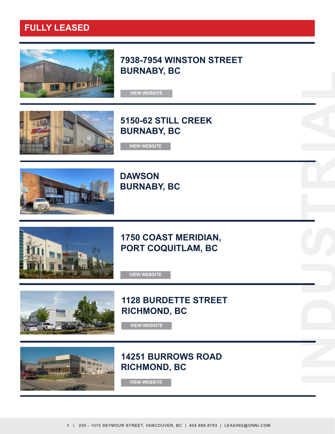# **FULLY LEASED**



**7938-7954 WINSTON STREET BURNABY, BC**

**VIEW WEBSITE**



**5150-62 STILL CREEK BURNABY, BC**



**DAWSON BURNABY, BC [VIEW WEBSITE](https://www.onni.com/property/commercial/5150-still-creek/)<br>JRNABY<br>JRNABY<br>SO COA<br>DRT CO<br>VIEW WEBSITE** 



# **1750 COAST MERIDIAN, PORT COQUITLAM, BC**

**INDUSTRIAL** 



# **1128 BURDETTE STREET RICHMOND, BC**



**14251 BURROWS ROAD RICHMOND, BC [VIEW WEBSITE](https://www.onni.com/property/commercial/burdette/)<br>251 BUI<br>CHMON**<br>VIEW WEBSITE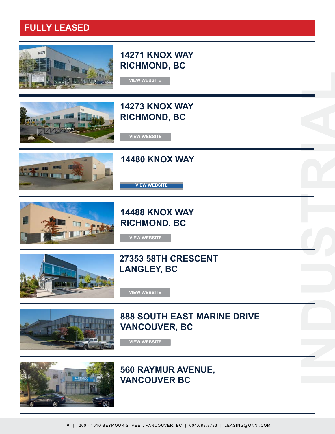# **FULLY LEASED**



# **14271 KNOX WAY RICHMOND, BC**



# **14273 KNOX WAY RICHMON[D,](https://www.onni.com/property/commercial/1533-broadway-st/) BC [VIEW WEBSITE](https://www.onni.com/property/commercial/14271-73-knox-way/) [VIEW WEBSITE](https://www.onni.com/property/commercial/14271-73-knox-way/)**



**14480 KNOX WAY**

**14488 KNOX WAY RICHMOND, BC [VIEW WEBSITE](https://www.onni.com/property/commercial/14480-88-knox-way/)<br>CHMOND<br>VIEW WEBSITE<br>353 58TH<br>NGLEY, E<br>VIEW WEBSITE<br>BOUTH<br>NCOUVE** 

# **27353 58TH CRESCENT LANGLEY, BC**



# **888 SOUTH EAST MARINE DRIVE VANCOUVER, BC**

**INDUSTRIAL** 



# **560 RAYMUR AVENUE, VANCOUVER BC**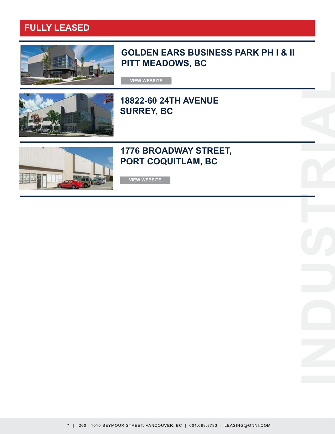# **FULLY LEASED**



# **GOLDEN EARS BUSINESS PARK PH I & II PITT MEADOWS, BC**

**INDUSTRIAL** 

**VIEW [W](https://www.onni.com/property/commercial/14271-73-knox-way/)EBSITE**



# **18822-60 24TH AVENUE SURREY, BC**



# **1776 BROADWAY STREET, PORT COQUITLAM, BC**

**VIEW WEBSITE**